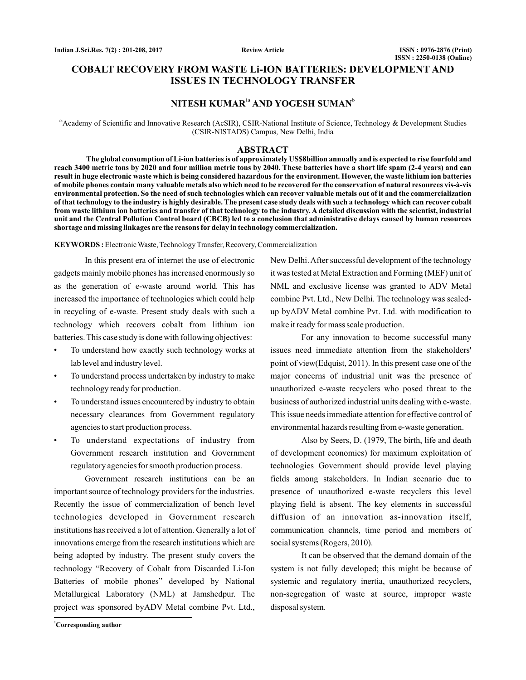**Review Article**

# **COBALT RECOVERY FROM WASTE Li-ION BATTERIES: DEVELOPMENT AND ISSUES IN TECHNOLOGY TRANSFER**

# $N$ **ITESH KUMAR<sup>1a</sup> AND YOGESH SUMAN<sup>b</sup>**

<sup>ab</sup>Academy of Scientific and Innovative Research (AcSIR), CSIR-National Institute of Science, Technology & Development Studies (CSIR-NISTADS) Campus, New Delhi, India

#### **ABSTRACT**

**The global consumption of Li-ion batteries is of approximately US\$8billion annually and is expected to rise fourfold and reach 3400 metric tons by 2020 and four million metric tons by 2040. These batteries have a short life spam (2-4 years) and can result in huge electronic waste which is being considered hazardous for the environment. However, the waste lithium ion batteries of mobile phones contain many valuable metals also which need to be recovered for the conservation of natural resources vis-à-vis environmental protection. So the need of such technologies which can recover valuable metals out of it and the commercialization of that technology to the industry is highly desirable. The present case study deals with such a technology which can recover cobalt from waste lithium ion batteries and transfer of that technology to the industry. A detailed discussion with the scientist, industrial unit and the Central Pollution Control board (CBCB) led to a conclusion that administrative delays caused by human resources shortage and missing linkages are the reasons for delay in technology commercialization.**

**KEYWORDS :** Electronic Waste, Technology Transfer, Recovery, Commercialization

In this present era of internet the use of electronic gadgets mainly mobile phones has increased enormously so as the generation of e-waste around world. This has increased the importance of technologies which could help in recycling of e-waste. Present study deals with such a technology which recovers cobalt from lithium ion batteries. This case study is done with following objectives:

- To understand how exactly such technology works at lab level and industry level.
- To understand process undertaken by industry to make technology ready for production.
- To understand issues encountered by industry to obtain necessary clearances from Government regulatory agencies to start production process.
- To understand expectations of industry from Government research institution and Government regulatory agencies for smooth production process.

Government research institutions can be an important source of technology providers for the industries. Recently the issue of commercialization of bench level technologies developed in Government research institutions has received a lot of attention. Generally a lot of innovations emerge from the research institutions which are being adopted by industry. The present study covers the technology "Recovery of Cobalt from Discarded Li-Ion Batteries of mobile phones" developed by National Metallurgical Laboratory (NML) at Jamshedpur. The project was sponsored byADV Metal combine Pvt. Ltd.,

New Delhi.After successful development of the technology it was tested at Metal Extraction and Forming (MEF) unit of NML and exclusive license was granted to ADV Metal combine Pvt. Ltd., New Delhi. The technology was scaledup byADV Metal combine Pvt. Ltd. with modification to make it ready for mass scale production.

For any innovation to become successful many issues need immediate attention from the stakeholders' point of view(Edquist, 2011). In this present case one of the major concerns of industrial unit was the presence of unauthorized e-waste recyclers who posed threat to the business of authorized industrial units dealing with e-waste. This issue needs immediate attention for effective control of environmental hazards resulting from e-waste generation.

Also by Seers, D. (1979, The birth, life and death of development economics) for maximum exploitation of technologies Government should provide level playing fields among stakeholders. In Indian scenario due to presence of unauthorized e-waste recyclers this level playing field is absent. The key elements in successful diffusion of an innovation as-innovation itself, communication channels, time period and members of social systems (Rogers, 2010).

It can be observed that the demand domain of the system is not fully developed; this might be because of systemic and regulatory inertia, unauthorized recyclers, non-segregation of waste at source, improper waste disposal system.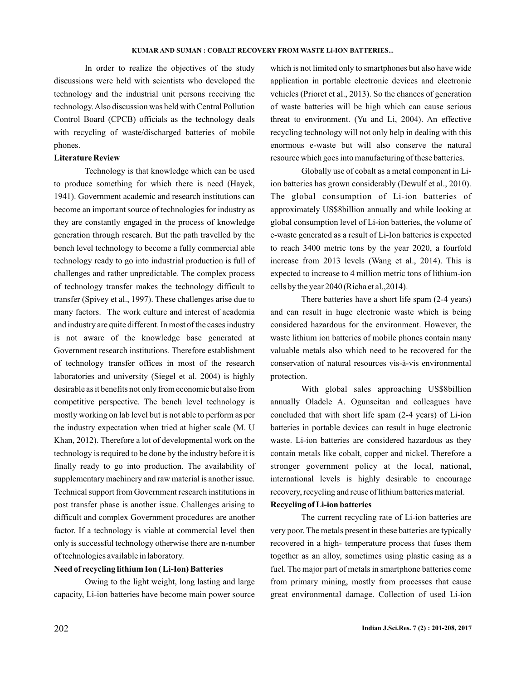In order to realize the objectives of the study discussions were held with scientists who developed the technology and the industrial unit persons receiving the technology.Also discussion was held with Central Pollution Control Board (CPCB) officials as the technology deals with recycling of waste/discharged batteries of mobile phones.

## **Literature Review**

Technology is that knowledge which can be used to produce something for which there is need (Hayek, 1941). Government academic and research institutions can become an important source of technologies for industry as they are constantly engaged in the process of knowledge generation through research. But the path travelled by the bench level technology to become a fully commercial able technology ready to go into industrial production is full of challenges and rather unpredictable. The complex process of technology transfer makes the technology difficult to transfer (Spivey et al., 1997). These challenges arise due to many factors. The work culture and interest of academia and industry are quite different. In most of the cases industry is not aware of the knowledge base generated at Government research institutions. Therefore establishment of technology transfer offices in most of the research laboratories and university (Siegel et al. 2004) is highly desirable as it benefits not only from economic but also from competitive perspective. The bench level technology is mostly working on lab level but is not able to perform as per the industry expectation when tried at higher scale (M. U Khan, 2012). Therefore a lot of developmental work on the technology is required to be done by the industry before it is finally ready to go into production. The availability of supplementary machinery and raw material is another issue. Technical support from Government research institutions in post transfer phase is another issue. Challenges arising to difficult and complex Government procedures are another factor. If a technology is viable at commercial level then only is successful technology otherwise there are n-number of technologies available in laboratory.

### **Need of recycling lithium Ion ( Li-Ion) Batteries**

Owing to the light weight, long lasting and large capacity, Li-ion batteries have become main power source which is not limited only to smartphones but also have wide application in portable electronic devices and electronic vehicles (Prioret et al., 2013). So the chances of generation of waste batteries will be high which can cause serious threat to environment. (Yu and Li, 2004). An effective recycling technology will not only help in dealing with this enormous e-waste but will also conserve the natural resource which goes into manufacturing of these batteries.

Globally use of cobalt as a metal component in Liion batteries has grown considerably (Dewulf et al., 2010). The global consumption of Li-ion batteries of approximately US\$8billion annually and while looking at global consumption level of Li-ion batteries, the volume of e-waste generated as a result of Li-Ion batteries is expected to reach 3400 metric tons by the year 2020, a fourfold increase from 2013 levels (Wang et al., 2014). This is expected to increase to 4 million metric tons of lithium-ion cells by the year 2040 (Richa et al.,2014).

There batteries have a short life spam (2-4 years) and can result in huge electronic waste which is being considered hazardous for the environment. However, the waste lithium ion batteries of mobile phones contain many valuable metals also which need to be recovered for the conservation of natural resources vis-à-vis environmental protection.

With global sales approaching US\$8billion annually Oladele A. Ogunseitan and colleagues have concluded that with short life spam (2-4 years) of Li-ion batteries in portable devices can result in huge electronic waste. Li-ion batteries are considered hazardous as they contain metals like cobalt, copper and nickel. Therefore a stronger government policy at the local, national, international levels is highly desirable to encourage recovery, recycling and reuse of lithium batteries material.

## **Recycling of Li-ion batteries**

The current recycling rate of Li-ion batteries are very poor. The metals present in these batteries are typically recovered in a high- temperature process that fuses them together as an alloy, sometimes using plastic casing as a fuel. The major part of metals in smartphone batteries come from primary mining, mostly from processes that cause great environmental damage. Collection of used Li-ion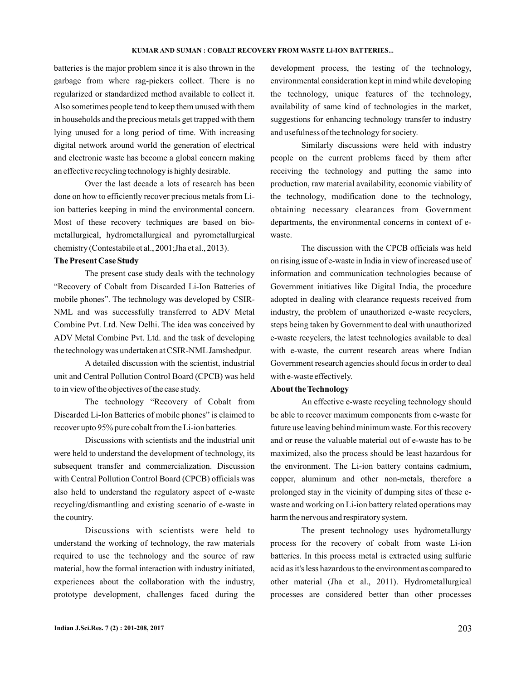batteries is the major problem since it is also thrown in the garbage from where rag-pickers collect. There is no regularized or standardized method available to collect it. Also sometimes people tend to keep them unused with them in households and the precious metals get trapped with them lying unused for a long period of time. With increasing digital network around world the generation of electrical and electronic waste has become a global concern making an effective recycling technology is highly desirable.

Over the last decade a lots of research has been done on how to efficiently recover precious metals from Liion batteries keeping in mind the environmental concern. Most of these recovery techniques are based on biometallurgical, hydrometallurgical and pyrometallurgical chemistry (Contestabile et al., 2001;Jha et al., 2013).

## **The Present Case Study**

The present case study deals with the technology "Recovery of Cobalt from Discarded Li-Ion Batteries of mobile phones". The technology was developed by CSIR-NML and was successfully transferred to ADV Metal Combine Pvt. Ltd. New Delhi. The idea was conceived by ADV Metal Combine Pvt. Ltd. and the task of developing the technology was undertaken at CSIR-NMLJamshedpur.

A detailed discussion with the scientist, industrial unit and Central Pollution Control Board (CPCB) was held to in view of the objectives of the case study.

The technology "Recovery of Cobalt from Discarded Li-Ion Batteries of mobile phones" is claimed to recover upto 95% pure cobalt from the Li-ion batteries.

Discussions with scientists and the industrial unit were held to understand the development of technology, its subsequent transfer and commercialization. Discussion with Central Pollution Control Board (CPCB) officials was also held to understand the regulatory aspect of e-waste recycling/dismantling and existing scenario of e-waste in the country.

Discussions with scientists were held to understand the working of technology, the raw materials required to use the technology and the source of raw material, how the formal interaction with industry initiated, experiences about the collaboration with the industry, prototype development, challenges faced during the

development process, the testing of the technology, environmental consideration kept in mind while developing the technology, unique features of the technology, availability of same kind of technologies in the market, suggestions for enhancing technology transfer to industry and usefulness of the technology for society.

Similarly discussions were held with industry people on the current problems faced by them after receiving the technology and putting the same into production, raw material availability, economic viability of the technology, modification done to the technology, obtaining necessary clearances from Government departments, the environmental concerns in context of ewaste.

The discussion with the CPCB officials was held on rising issue of e-waste in India in view of increased use of information and communication technologies because of Government initiatives like Digital India, the procedure adopted in dealing with clearance requests received from industry, the problem of unauthorized e-waste recyclers, steps being taken by Government to deal with unauthorized e-waste recyclers, the latest technologies available to deal with e-waste, the current research areas where Indian Government research agencies should focus in order to deal with e-waste effectively.

#### **About the Technology**

An effective e-waste recycling technology should be able to recover maximum components from e-waste for future use leaving behind minimum waste. For this recovery and or reuse the valuable material out of e-waste has to be maximized, also the process should be least hazardous for the environment. The Li-ion battery contains cadmium, copper, aluminum and other non-metals, therefore a prolonged stay in the vicinity of dumping sites of these ewaste and working on Li-ion battery related operations may harm the nervous and respiratory system.

The present technology uses hydrometallurgy process for the recovery of cobalt from waste Li-ion batteries. In this process metal is extracted using sulfuric acid as it's less hazardous to the environment as compared to other material (Jha et al., 2011). Hydrometallurgical processes are considered better than other processes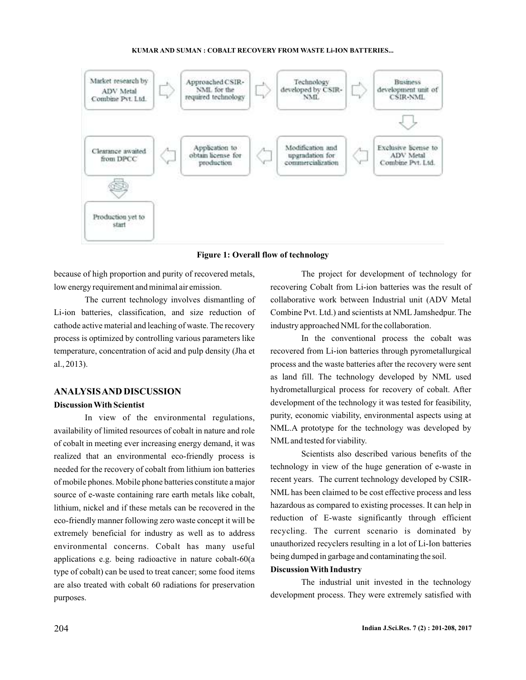

**Figure 1: Overall flow of technology**

because of high proportion and purity of recovered metals, low energy requirement and minimal air emission.

The current technology involves dismantling of Li-ion batteries, classification, and size reduction of cathode active material and leaching of waste. The recovery process is optimized by controlling various parameters like temperature, concentration of acid and pulp density (Jha et al., 2013).

# **ANALYSISAND DISCUSSION**

### **Discussion With Scientist**

In view of the environmental regulations, availability of limited resources of cobalt in nature and role of cobalt in meeting ever increasing energy demand, it was realized that an environmental eco-friendly process is needed for the recovery of cobalt from lithium ion batteries of mobile phones. Mobile phone batteries constitute a major source of e-waste containing rare earth metals like cobalt, lithium, nickel and if these metals can be recovered in the eco-friendly manner following zero waste concept it will be extremely beneficial for industry as well as to address environmental concerns. Cobalt has many useful applications e.g. being radioactive in nature cobalt-60(a type of cobalt) can be used to treat cancer; some food items are also treated with cobalt 60 radiations for preservation purposes.

The project for development of technology for recovering Cobalt from Li-ion batteries was the result of collaborative work between Industrial unit (ADV Metal Combine Pvt. Ltd.) and scientists at NML Jamshedpur. The industry approached NML for the collaboration.

In the conventional process the cobalt was recovered from Li-ion batteries through pyrometallurgical process and the waste batteries after the recovery were sent as land fill. The technology developed by NML used hydrometallurgical process for recovery of cobalt. After development of the technology it was tested for feasibility, purity, economic viability, environmental aspects using at NML.A prototype for the technology was developed by NMLand tested for viability.

Scientists also described various benefits of the technology in view of the huge generation of e-waste in recent years. The current technology developed by CSIR-NML has been claimed to be cost effective process and less hazardous as compared to existing processes. It can help in reduction of E-waste significantly through efficient recycling. The current scenario is dominated by unauthorized recyclers resulting in a lot of Li-Ion batteries being dumped in garbage and contaminating the soil.

# **Discussion With Industry**

The industrial unit invested in the technology development process. They were extremely satisfied with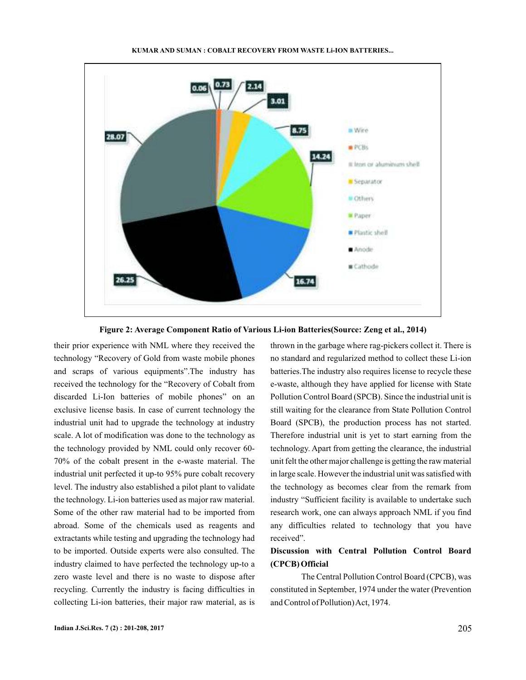

**Figure 2: Average Component Ratio of Various Li-ion Batteries(Source: Zeng et al., 2014)**

their prior experience with NML where they received the technology "Recovery of Gold from waste mobile phones and scraps of various equipments".The industry has received the technology for the "Recovery of Cobalt from discarded Li-Ion batteries of mobile phones" on an exclusive license basis. In case of current technology the industrial unit had to upgrade the technology at industry scale. A lot of modification was done to the technology as the technology provided by NML could only recover 60- 70% of the cobalt present in the e-waste material. The industrial unit perfected it up-to 95% pure cobalt recovery level. The industry also established a pilot plant to validate the technology. Li-ion batteries used as major raw material. Some of the other raw material had to be imported from abroad. Some of the chemicals used as reagents and extractants while testing and upgrading the technology had to be imported. Outside experts were also consulted. The industry claimed to have perfected the technology up-to a zero waste level and there is no waste to dispose after recycling. Currently the industry is facing difficulties in collecting Li-ion batteries, their major raw material, as is

thrown in the garbage where rag-pickers collect it. There is no standard and regularized method to collect these Li-ion batteries.The industry also requires license to recycle these e-waste, although they have applied for license with State Pollution Control Board (SPCB). Since the industrial unit is still waiting for the clearance from State Pollution Control Board (SPCB), the production process has not started. Therefore industrial unit is yet to start earning from the technology. Apart from getting the clearance, the industrial unit felt the other major challenge is getting the raw material in large scale. However the industrial unit was satisfied with the technology as becomes clear from the remark from industry "Sufficient facility is available to undertake such research work, one can always approach NML if you find any difficulties related to technology that you have received".

# **Discussion with Central Pollution Control Board (CPCB) Official**

The Central Pollution Control Board (CPCB), was constituted in September, 1974 under the water (Prevention and Control of Pollution)Act, 1974.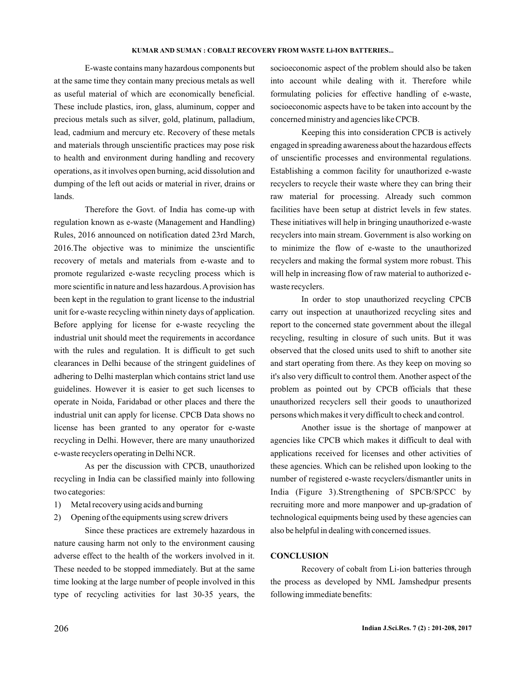E-waste contains many hazardous components but at the same time they contain many precious metals as well as useful material of which are economically beneficial. These include plastics, iron, glass, aluminum, copper and precious metals such as silver, gold, platinum, palladium, lead, cadmium and mercury etc. Recovery of these metals and materials through unscientific practices may pose risk to health and environment during handling and recovery operations, as it involves open burning, acid dissolution and dumping of the left out acids or material in river, drains or lands.

Therefore the Govt. of India has come-up with regulation known as e-waste (Management and Handling) Rules, 2016 announced on notification dated 23rd March, 2016.The objective was to minimize the unscientific recovery of metals and materials from e-waste and to promote regularized e-waste recycling process which is more scientific in nature and less hazardous.Aprovision has been kept in the regulation to grant license to the industrial unit for e-waste recycling within ninety days of application. Before applying for license for e-waste recycling the industrial unit should meet the requirements in accordance with the rules and regulation. It is difficult to get such clearances in Delhi because of the stringent guidelines of adhering to Delhi masterplan which contains strict land use guidelines. However it is easier to get such licenses to operate in Noida, Faridabad or other places and there the industrial unit can apply for license. CPCB Data shows no license has been granted to any operator for e-waste recycling in Delhi. However, there are many unauthorized e-waste recyclers operating in Delhi NCR.

As per the discussion with CPCB, unauthorized recycling in India can be classified mainly into following two categories:

- 1) Metal recovery using acids and burning
- 2) Opening of the equipments using screw drivers

Since these practices are extremely hazardous in nature causing harm not only to the environment causing adverse effect to the health of the workers involved in it. These needed to be stopped immediately. But at the same time looking at the large number of people involved in this type of recycling activities for last 30-35 years, the socioeconomic aspect of the problem should also be taken into account while dealing with it. Therefore while formulating policies for effective handling of e-waste, socioeconomic aspects have to be taken into account by the concerned ministry and agencies like CPCB.

Keeping this into consideration CPCB is actively engaged in spreading awareness about the hazardous effects of unscientific processes and environmental regulations. Establishing a common facility for unauthorized e-waste recyclers to recycle their waste where they can bring their raw material for processing. Already such common facilities have been setup at district levels in few states. These initiatives will help in bringing unauthorized e-waste recyclers into main stream. Government is also working on to minimize the flow of e-waste to the unauthorized recyclers and making the formal system more robust. This will help in increasing flow of raw material to authorized ewaste recyclers.

In order to stop unauthorized recycling CPCB carry out inspection at unauthorized recycling sites and report to the concerned state government about the illegal recycling, resulting in closure of such units. But it was observed that the closed units used to shift to another site and start operating from there. As they keep on moving so it's also very difficult to control them. Another aspect of the problem as pointed out by CPCB officials that these unauthorized recyclers sell their goods to unauthorized persons which makes it very difficult to check and control.

Another issue is the shortage of manpower at agencies like CPCB which makes it difficult to deal with applications received for licenses and other activities of these agencies. Which can be relished upon looking to the number of registered e-waste recyclers/dismantler units in India (Figure 3).Strengthening of SPCB/SPCC by recruiting more and more manpower and up-gradation of technological equipments being used by these agencies can also be helpful in dealing with concerned issues.

### **CONCLUSION**

Recovery of cobalt from Li-ion batteries through the process as developed by NML Jamshedpur presents following immediate benefits: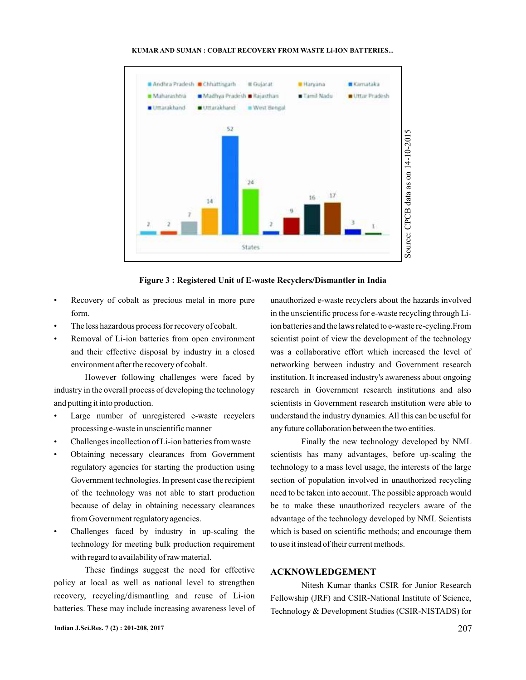

**Figure 3 : Registered Unit of E-waste Recyclers/Dismantler in India**

- Recovery of cobalt as precious metal in more pure form.
- The less hazardous process for recovery of cobalt.
- Removal of Li-ion batteries from open environment and their effective disposal by industry in a closed environment after the recovery of cobalt.

However following challenges were faced by industry in the overall process of developing the technology and putting it into production.

- Large number of unregistered e-waste recyclers processing e-waste in unscientific manner
- Challenges incollection of Li-ion batteries from waste
- Obtaining necessary clearances from Government regulatory agencies for starting the production using Government technologies. In present case the recipient of the technology was not able to start production because of delay in obtaining necessary clearances from Government regulatory agencies.
- Challenges faced by industry in up-scaling the technology for meeting bulk production requirement with regard to availability of raw material.

These findings suggest the need for effective policy at local as well as national level to strengthen recovery, recycling/dismantling and reuse of Li-ion batteries. These may include increasing awareness level of unauthorized e-waste recyclers about the hazards involved in the unscientific process for e-waste recycling through Liion batteries and the laws related to e-waste re-cycling.From scientist point of view the development of the technology was a collaborative effort which increased the level of networking between industry and Government research institution. It increased industry's awareness about ongoing research in Government research institutions and also scientists in Government research institution were able to understand the industry dynamics. All this can be useful for any future collaboration between the two entities.

Finally the new technology developed by NML scientists has many advantages, before up-scaling the technology to a mass level usage, the interests of the large section of population involved in unauthorized recycling need to be taken into account. The possible approach would be to make these unauthorized recyclers aware of the advantage of the technology developed by NML Scientists which is based on scientific methods; and encourage them to use it instead of their current methods.

# **ACKNOWLEDGEMENT**

Nitesh Kumar thanks CSIR for Junior Research Fellowship (JRF) and CSIR-National Institute of Science, Technology & Development Studies (CSIR-NISTADS) for